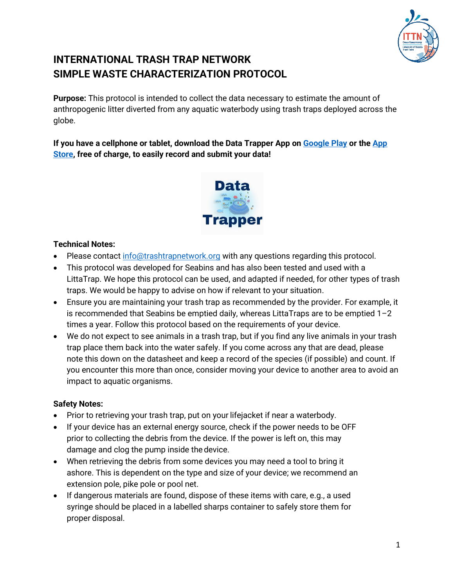

# **INTERNATIONAL TRASH TRAP NETWORK SIMPLE WASTE CHARACTERIZATION PROTOCOL**

**Purpose:** This protocol is intended to collect the data necessary to estimate the amount of anthropogenic litter diverted from any aquatic waterbody using trash traps deployed across the globe.

**If you have a cellphone or tablet, download the Data Trapper App on [Google Play](https://play.google.com/store/apps/details?id=com.appsheet.whitelabel.guid_f5b180ab_20ae_4755_92ff_40cea4fe35e0&hl=en&gl=US) or the [App](https://apps.apple.com/ca/app/data-trapper/id1532977479) [Store,](https://apps.apple.com/ca/app/data-trapper/id1532977479) free of charge, to easily record and submit your data!**



### **Technical Notes:**

- Please contact [info@trashtrapnetwork.org](mailto:info@trashtrapnetwork.org) with any questions regarding this protocol.
- This protocol was developed for Seabins and has also been tested and used with a LittaTrap. We hope this protocol can be used, and adapted if needed, for other types of trash traps. We would be happy to advise on how if relevant to your situation.
- Ensure you are maintaining your trash trap as recommended by the provider. For example, it is recommended that Seabins be emptied daily, whereas LittaTraps are to be emptied 1–2 times a year. Follow this protocol based on the requirements of your device.
- We do not expect to see animals in a trash trap, but if you find any live animals in your trash trap place them back into the water safely. If you come across any that are dead, please note this down on the datasheet and keep a record of the species (if possible) and count. If you encounter this more than once, consider moving your device to another area to avoid an impact to aquatic organisms.

### **Safety Notes:**

- Prior to retrieving your trash trap, put on your lifejacket if near a waterbody.
- If your device has an external energy source, check if the power needs to be OFF prior to collecting the debris from the device. If the power is left on, this may damage and clog the pump inside the device.
- When retrieving the debris from some devices you may need a tool to bring it ashore. This is dependent on the type and size of your device; we recommend an extension pole, pike pole or pool net.
- If dangerous materials are found, dispose of these items with care, e.g., a used syringe should be placed in a labelled sharps container to safely store them for proper disposal.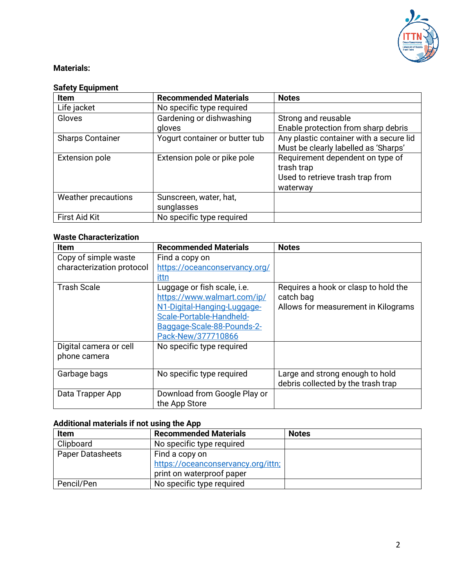

### **Materials:**

## **Safety Equipment**

| <b>Item</b>             | <b>Recommended Materials</b>   | <b>Notes</b>                            |
|-------------------------|--------------------------------|-----------------------------------------|
| Life jacket             | No specific type required      |                                         |
| Gloves                  | Gardening or dishwashing       | Strong and reusable                     |
|                         | gloves                         | Enable protection from sharp debris     |
| <b>Sharps Container</b> | Yogurt container or butter tub | Any plastic container with a secure lid |
|                         |                                | Must be clearly labelled as 'Sharps'    |
| <b>Extension pole</b>   | Extension pole or pike pole    | Requirement dependent on type of        |
|                         |                                | trash trap                              |
|                         |                                | Used to retrieve trash trap from        |
|                         |                                | waterway                                |
| Weather precautions     | Sunscreen, water, hat,         |                                         |
|                         | sunglasses                     |                                         |
| <b>First Aid Kit</b>    | No specific type required      |                                         |

#### **Waste Characterization**

| <b>Item</b>               | <b>Recommended Materials</b>  | <b>Notes</b>                         |
|---------------------------|-------------------------------|--------------------------------------|
| Copy of simple waste      | Find a copy on                |                                      |
| characterization protocol | https://oceanconservancy.org/ |                                      |
|                           | ittn                          |                                      |
| <b>Trash Scale</b>        | Luggage or fish scale, i.e.   | Requires a hook or clasp to hold the |
|                           | https://www.walmart.com/ip/   | catch bag                            |
|                           | N1-Digital-Hanging-Luggage-   | Allows for measurement in Kilograms  |
|                           | Scale-Portable-Handheld-      |                                      |
|                           | Baggage-Scale-88-Pounds-2-    |                                      |
|                           | Pack-New/377710866            |                                      |
| Digital camera or cell    | No specific type required     |                                      |
| phone camera              |                               |                                      |
|                           |                               |                                      |
| Garbage bags              | No specific type required     | Large and strong enough to hold      |
|                           |                               | debris collected by the trash trap   |
| Data Trapper App          | Download from Google Play or  |                                      |
|                           | the App Store                 |                                      |

### **Additional materials if not using the App**

| Item                    | <b>Recommended Materials</b>                                                      | <b>Notes</b> |
|-------------------------|-----------------------------------------------------------------------------------|--------------|
| Clipboard               | No specific type required                                                         |              |
| <b>Paper Datasheets</b> | Find a copy on<br>https://oceanconservancy.org/ittn;<br>print on waterproof paper |              |
| Pencil/Pen              | No specific type required                                                         |              |